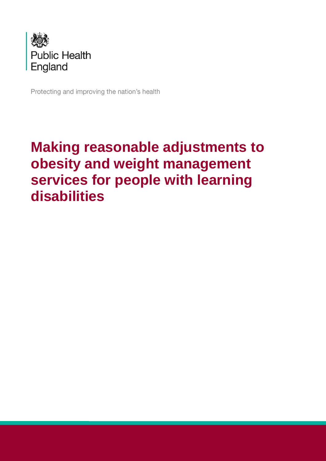

Protecting and improving the nation's health

# **Making reasonable adjustments to obesity and weight management services for people with learning disabilities**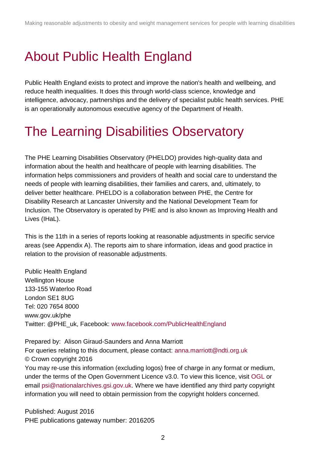## <span id="page-1-0"></span>About Public Health England

Public Health England exists to protect and improve the nation's health and wellbeing, and reduce health inequalities. It does this through world-class science, knowledge and intelligence, advocacy, partnerships and the delivery of specialist public health services. PHE is an operationally autonomous executive agency of the Department of Health.

## <span id="page-1-1"></span>The Learning Disabilities Observatory

The PHE Learning Disabilities Observatory (PHELDO) provides high-quality data and information about the health and healthcare of people with learning disabilities. The information helps commissioners and providers of health and social care to understand the needs of people with learning disabilities, their families and carers, and, ultimately, to deliver better healthcare. PHELDO is a collaboration between PHE, the Centre for Disability Research at Lancaster University and the National Development Team for Inclusion. The Observatory is operated by PHE and is also known as Improving Health and Lives (IHaL).

This is the 11th in a series of reports looking at reasonable adjustments in specific service areas (see Appendix A). The reports aim to share information, ideas and good practice in relation to the provision of reasonable adjustments.

Public Health England Wellington House 133-155 Waterloo Road London SE1 8UG Tel: 020 7654 8000 [www.gov.uk/phe](http://www.gov.uk/phe) Twitter: [@PHE\\_uk,](https://twitter.com/PHE_uk) Facebook: [www.facebook.com/PublicHealthEngland](http://www.facebook.com/PublicHealthEngland)

Prepared by: Alison Giraud-Saunders and Anna Marriott For queries relating to this document, please contact: [anna.marriott@ndti.org.uk](mailto:anna.marriott@ndti.org.uk) © Crown copyright 2016 You may re-use this information (excluding logos) free of charge in any format or medium, under the terms of the Open Government Licence v3.0. To view this licence, visit [OGL](https://www.nationalarchives.gov.uk/doc/open-government-licence/version/2/) or email [psi@nationalarchives.gsi.gov.uk.](mailto:psi@nationalarchives.gsi.gov.uk) Where we have identified any third party copyright information you will need to obtain permission from the copyright holders concerned.

Published: August 2016 PHE publications gateway number: 2016205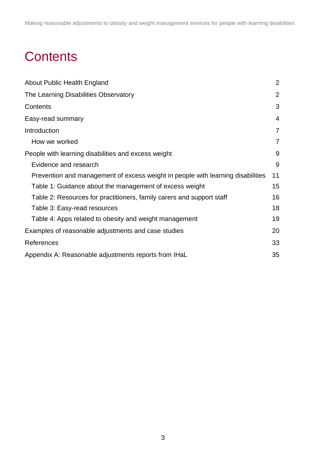# <span id="page-2-0"></span>**Contents**

| About Public Health England                                                     | $\overline{2}$ |
|---------------------------------------------------------------------------------|----------------|
| The Learning Disabilities Observatory                                           | $\overline{2}$ |
| Contents                                                                        | 3              |
| Easy-read summary                                                               | $\overline{4}$ |
| Introduction                                                                    | $\overline{7}$ |
| How we worked                                                                   | $\overline{7}$ |
| People with learning disabilities and excess weight                             | 9              |
| Evidence and research                                                           | 9              |
| Prevention and management of excess weight in people with learning disabilities | 11             |
| Table 1: Guidance about the management of excess weight                         | 15             |
| Table 2: Resources for practitioners, family carers and support staff           | 16             |
| Table 3: Easy-read resources                                                    | 18             |
| Table 4: Apps related to obesity and weight management                          | 19             |
| Examples of reasonable adjustments and case studies                             | 20             |
| References                                                                      | 33             |
| Appendix A: Reasonable adjustments reports from IHaL                            | 35             |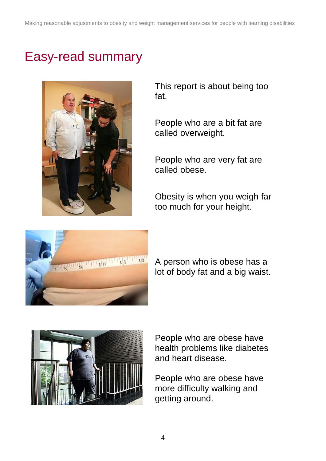## <span id="page-3-0"></span>Easy-read summary



This report is about being too fat.

People who are a bit fat are called overweight.

People who are very fat are called obese.

Obesity is when you weigh far too much for your height.



A person who is obese has a lot of body fat and a big waist.



People who are obese have health problems like diabetes and heart disease.

People who are obese have more difficulty walking and getting around.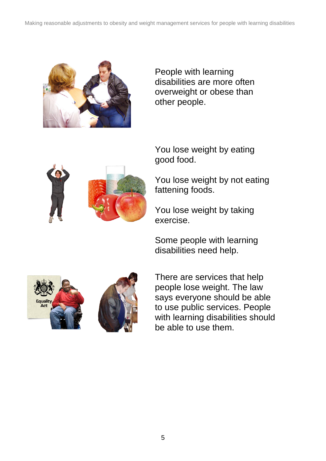

People with learning disabilities are more often overweight or obese than other people.



You lose weight by eating good food.

You lose weight by not eating fattening foods.

You lose weight by taking exercise.

Some people with learning disabilities need help.





There are services that help people lose weight. The law says everyone should be able to use public services. People with learning disabilities should be able to use them.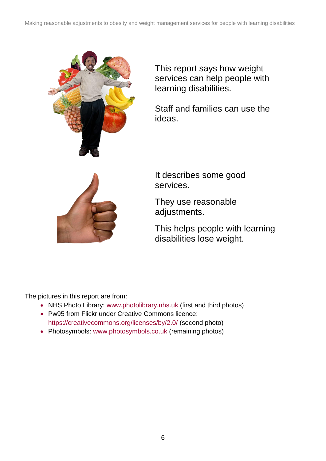

This report says how weight services can help people with learning disabilities.

Staff and families can use the ideas.



It describes some good services.

They use reasonable adjustments.

This helps people with learning disabilities lose weight.

The pictures in this report are from:

- NHS Photo Library: [www.photolibrary.nhs.uk](http://www.photolibrary.nhs.uk/) (first and third photos)
- Pw95 from Flickr under Creative Commons licence: <https://creativecommons.org/licenses/by/2.0/> (second photo)
- Photosymbols: [www.photosymbols.co.uk](http://www.photosymbols.co.uk/) (remaining photos)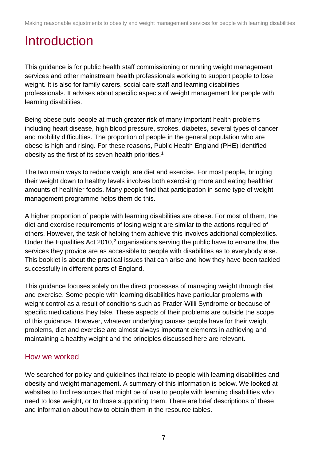## <span id="page-6-0"></span>**Introduction**

This guidance is for public health staff commissioning or running weight management services and other mainstream health professionals working to support people to lose weight. It is also for family carers, social care staff and learning disabilities professionals. It advises about specific aspects of weight management for people with learning disabilities.

Being obese puts people at much greater risk of many important health problems including heart disease, high blood pressure, strokes, diabetes, several types of cancer and mobility difficulties. The proportion of people in the general population who are obese is high and rising. For these reasons, Public Health England (PHE) identified obesity as the first of its seven health priorities.<sup>1</sup>

The two main ways to reduce weight are diet and exercise. For most people, bringing their weight down to healthy levels involves both exercising more and eating healthier amounts of healthier foods. Many people find that participation in some type of weight management programme helps them do this.

A higher proportion of people with learning disabilities are obese. For most of them, the diet and exercise requirements of losing weight are similar to the actions required of others. However, the task of helping them achieve this involves additional complexities. Under the Equalities Act 2010,<sup>2</sup> organisations serving the public have to ensure that the services they provide are as accessible to people with disabilities as to everybody else. This booklet is about the practical issues that can arise and how they have been tackled successfully in different parts of England.

This guidance focuses solely on the direct processes of managing weight through diet and exercise. Some people with learning disabilities have particular problems with weight control as a result of conditions such as Prader-Willi Syndrome or because of specific medications they take. These aspects of their problems are outside the scope of this guidance. However, whatever underlying causes people have for their weight problems, diet and exercise are almost always important elements in achieving and maintaining a healthy weight and the principles discussed here are relevant.

## <span id="page-6-1"></span>How we worked

We searched for policy and guidelines that relate to people with learning disabilities and obesity and weight management. A summary of this information is below. We looked at websites to find resources that might be of use to people with learning disabilities who need to lose weight, or to those supporting them. There are brief descriptions of these and information about how to obtain them in the resource tables.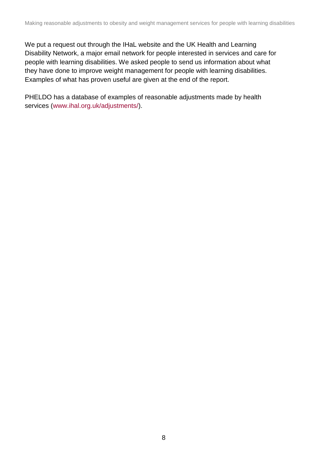We put a request out through the IHaL website and the UK Health and Learning Disability Network, a major email network for people interested in services and care for people with learning disabilities. We asked people to send us information about what they have done to improve weight management for people with learning disabilities. Examples of what has proven useful are given at the end of the report.

PHELDO has a database of examples of reasonable adjustments made by health services [\(www.ihal.org.uk/adjustments/\)](http://www.ihal.org.uk/adjustments/).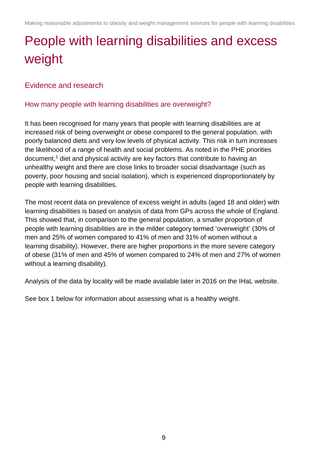# <span id="page-8-0"></span>People with learning disabilities and excess weight

## <span id="page-8-1"></span>Evidence and research

### How many people with learning disabilities are overweight?

It has been recognised for many years that people with learning disabilities are at increased risk of being overweight or obese compared to the general population, with poorly balanced diets and very low levels of physical activity. This risk in turn increases the likelihood of a range of health and social problems. As noted in the PHE priorities document,<sup>1</sup> diet and physical activity are key factors that contribute to having an unhealthy weight and there are close links to broader social disadvantage (such as poverty, poor housing and social isolation), which is experienced disproportionately by people with learning disabilities.

The most recent data on prevalence of excess weight in adults (aged 18 and older) with learning disabilities is based on analysis of data from GPs across the whole of England. This showed that, in comparison to the general population, a smaller proportion of people with learning disabilities are in the milder category termed 'overweight' (30% of men and 25% of women compared to 41% of men and 31% of women without a learning disability). However, there are higher proportions in the more severe category of obese (31% of men and 45% of women compared to 24% of men and 27% of women without a learning disability).

Analysis of the data by locality will be made available later in 2016 on the IHaL website.

See box 1 below for information about assessing what is a healthy weight.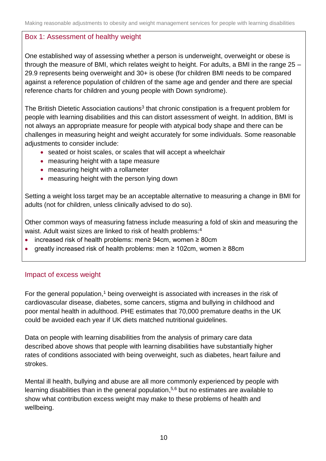### Box 1: Assessment of healthy weight

One established way of assessing whether a person is underweight, overweight or obese is through the measure of BMI, which relates weight to height. For adults, a BMI in the range 25 – 29.9 represents being overweight and 30+ is obese (for children BMI needs to be compared against a reference population of children of the same age and gender and there are special reference charts for children and young people with Down syndrome).

The British Dietetic Association cautions<sup>3</sup> that chronic constipation is a frequent problem for people with learning disabilities and this can distort assessment of weight. In addition, BMI is not always an appropriate measure for people with atypical body shape and there can be challenges in measuring height and weight accurately for some individuals. Some reasonable adjustments to consider include:

- seated or hoist scales, or scales that will accept a wheelchair
- measuring height with a tape measure
- measuring height with a rollameter
- measuring height with the person lying down

Setting a weight loss target may be an acceptable alternative to measuring a change in BMI for adults (not for children, unless clinically advised to do so).

Other common ways of measuring fatness include measuring a fold of skin and measuring the waist. Adult waist sizes are linked to risk of health problems:<sup>4</sup>

- increased risk of health problems: men≥ 94cm, women ≥ 80cm
- greatly increased risk of health problems: men ≥ 102cm, women ≥ 88cm

### Impact of excess weight

For the general population,<sup>1</sup> being overweight is associated with increases in the risk of cardiovascular disease, diabetes, some cancers, stigma and bullying in childhood and poor mental health in adulthood. PHE estimates that 70,000 premature deaths in the UK could be avoided each year if UK diets matched nutritional guidelines.

Data on people with learning disabilities from the analysis of primary care data described above shows that people with learning disabilities have substantially higher rates of conditions associated with being overweight, such as diabetes, heart failure and strokes.

Mental ill health, bullying and abuse are all more commonly experienced by people with learning disabilities than in the general population,<sup>5,6</sup> but no estimates are available to show what contribution excess weight may make to these problems of health and wellbeing.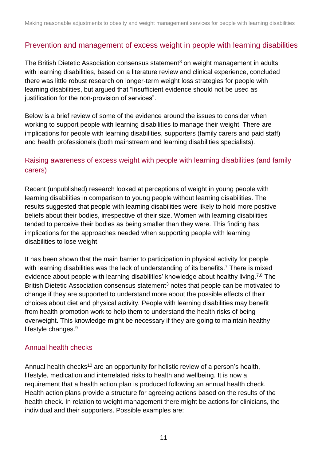## <span id="page-10-0"></span>Prevention and management of excess weight in people with learning disabilities

The British Dietetic Association consensus statement<sup>3</sup> on weight management in adults with learning disabilities, based on a literature review and clinical experience, concluded there was little robust research on longer-term weight loss strategies for people with learning disabilities, but argued that "insufficient evidence should not be used as justification for the non-provision of services".

Below is a brief review of some of the evidence around the issues to consider when working to support people with learning disabilities to manage their weight. There are implications for people with learning disabilities, supporters (family carers and paid staff) and health professionals (both mainstream and learning disabilities specialists).

## Raising awareness of excess weight with people with learning disabilities (and family carers)

Recent (unpublished) research looked at perceptions of weight in young people with learning disabilities in comparison to young people without learning disabilities. The results suggested that people with learning disabilities were likely to hold more positive beliefs about their bodies, irrespective of their size. Women with learning disabilities tended to perceive their bodies as being smaller than they were. This finding has implications for the approaches needed when supporting people with learning disabilities to lose weight.

It has been shown that the main barrier to participation in physical activity for people with learning disabilities was the lack of understanding of its benefits.<sup>7</sup> There is mixed evidence about people with learning disabilities' knowledge about healthy living.<sup>7,8</sup> The British Dietetic Association consensus statement<sup>3</sup> notes that people can be motivated to change if they are supported to understand more about the possible effects of their choices about diet and physical activity. People with learning disabilities may benefit from health promotion work to help them to understand the health risks of being overweight. This knowledge might be necessary if they are going to maintain healthy lifestyle changes.<sup>9</sup>

### Annual health checks

Annual health checks<sup>10</sup> are an opportunity for holistic review of a person's health, lifestyle, medication and interrelated risks to health and wellbeing. It is now a requirement that a health action plan is produced following an annual health check. Health action plans provide a structure for agreeing actions based on the results of the health check. In relation to weight management there might be actions for clinicians, the individual and their supporters. Possible examples are: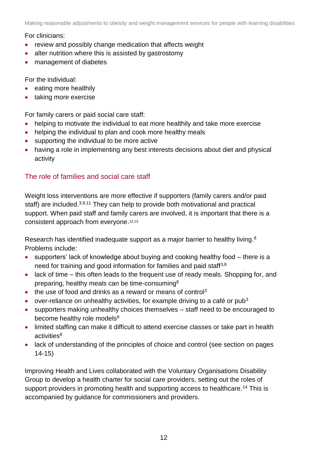For clinicians:

- review and possibly change medication that affects weight
- alter nutrition where this is assisted by gastrostomy
- management of diabetes

For the individual:

- eating more healthily
- taking more exercise

For family carers or paid social care staff:

- helping to motivate the individual to eat more healthily and take more exercise
- helping the individual to plan and cook more healthy meals
- supporting the individual to be more active
- having a role in implementing any best interests decisions about diet and physical activity

## The role of families and social care staff

Weight loss interventions are more effective if supporters (family carers and/or paid staff) are included.<sup>3,9,11</sup> They can help to provide both motivational and practical support. When paid staff and family carers are involved, it is important that there is a consistent approach from everyone. 12,13

Research has identified inadequate support as a major barrier to healthy living.<sup>8</sup> Problems include:

- supporters' lack of knowledge about buying and cooking healthy food there is a need for training and good information for families and paid staff<sup>3,8</sup>
- lack of time this often leads to the frequent use of ready meals. Shopping for, and preparing, healthy meals can be time-consuming<sup>8</sup>
- $\bullet$  the use of food and drinks as a reward or means of control<sup>3</sup>
- over-reliance on unhealthy activities, for example driving to a café or pub<sup>3</sup>
- supporters making unhealthy choices themselves staff need to be encouraged to become healthy role models<sup>8</sup>
- limited staffing can make it difficult to attend exercise classes or take part in health  $activities<sup>8</sup>$
- lack of understanding of the principles of choice and control (see section on pages 14-15)

Improving Health and Lives collaborated with the Voluntary Organisations Disability Group to develop a health charter for social care providers, setting out the roles of support providers in promoting health and supporting access to healthcare.<sup>14</sup> This is accompanied by guidance for commissioners and providers.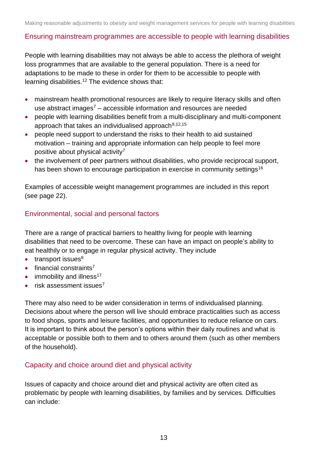#### Ensuring mainstream programmes are accessible to people with learning disabilities

People with learning disabilities may not always be able to access the plethora of weight loss programmes that are available to the general population. There is a need for adaptations to be made to these in order for them to be accessible to people with learning disabilities.<sup>12</sup> The evidence shows that:

- mainstream health promotional resources are likely to require literacy skills and often use abstract images<sup>7</sup> – accessible information and resources are needed
- people with learning disabilities benefit from a multi-disciplinary and multi-component approach that takes an individualised approach $9,12,15$
- people need support to understand the risks to their health to aid sustained motivation – training and appropriate information can help people to feel more positive about physical activity<sup>7</sup>
- the involvement of peer partners without disabilities, who provide reciprocal support, has been shown to encourage participation in exercise in community settings<sup>16</sup>

Examples of accessible weight management programmes are included in this report (see page 22).

### Environmental, social and personal factors

There are a range of practical barriers to healthy living for people with learning disabilities that need to be overcome. These can have an impact on people's ability to eat healthily or to engage in regular physical activity. They include

- $\bullet$  transport issues<sup>8</sup>
- $\bullet$  financial constraints<sup>7</sup>
- $\bullet$  immobility and illness<sup>17</sup>
- $\cdot$  risk assessment issues<sup>7</sup>

There may also need to be wider consideration in terms of individualised planning. Decisions about where the person will live should embrace practicalities such as access to food shops, sports and leisure facilities, and opportunities to reduce reliance on cars. It is important to think about the person's options within their daily routines and what is acceptable or possible both to them and to others around them (such as other members of the household).

#### Capacity and choice around diet and physical activity

Issues of capacity and choice around diet and physical activity are often cited as problematic by people with learning disabilities, by families and by services. Difficulties can include: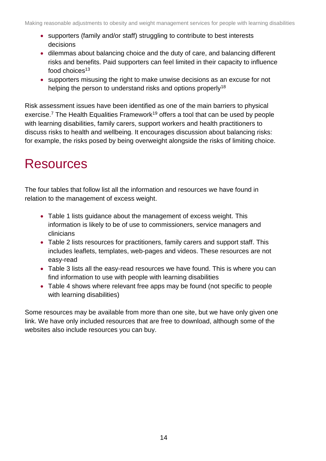- supporters (family and/or staff) struggling to contribute to best interests decisions
- dilemmas about balancing choice and the duty of care, and balancing different risks and benefits. Paid supporters can feel limited in their capacity to influence food choices<sup>13</sup>
- supporters misusing the right to make unwise decisions as an excuse for not helping the person to understand risks and options properly<sup>18</sup>

Risk assessment issues have been identified as one of the main barriers to physical exercise.<sup>7</sup> The Health Equalities Framework<sup>19</sup> offers a tool that can be used by people with learning disabilities, family carers, support workers and health practitioners to discuss risks to health and wellbeing. It encourages discussion about balancing risks: for example, the risks posed by being overweight alongside the risks of limiting choice.

## Resources

The four tables that follow list all the information and resources we have found in relation to the management of excess weight.

- Table 1 lists guidance about the management of excess weight. This information is likely to be of use to commissioners, service managers and clinicians
- Table 2 lists resources for practitioners, family carers and support staff. This includes leaflets, templates, web-pages and videos. These resources are not easy-read
- Table 3 lists all the easy-read resources we have found. This is where you can find information to use with people with learning disabilities
- Table 4 shows where relevant free apps may be found (not specific to people with learning disabilities)

Some resources may be available from more than one site, but we have only given one link. We have only included resources that are free to download, although some of the websites also include resources you can buy.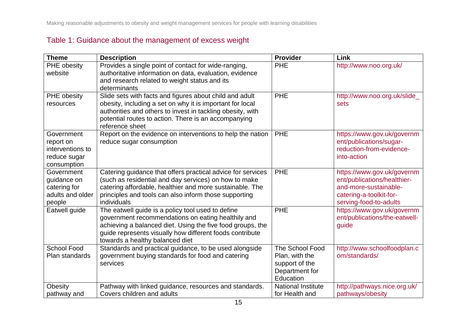## Table 1: Guidance about the management of excess weight

<span id="page-14-0"></span>

| <b>Theme</b>       | <b>Description</b>                                                      | <b>Provider</b>                  | Link                          |
|--------------------|-------------------------------------------------------------------------|----------------------------------|-------------------------------|
| PHE obesity        | Provides a single point of contact for wide-ranging,                    | <b>PHE</b>                       | http://www.noo.org.uk/        |
| website            | authoritative information on data, evaluation, evidence                 |                                  |                               |
|                    | and research related to weight status and its                           |                                  |                               |
|                    | determinants                                                            |                                  |                               |
| PHE obesity        | Slide sets with facts and figures about child and adult                 | <b>PHE</b>                       | http://www.noo.org.uk/slide   |
| resources          | obesity, including a set on why it is important for local               |                                  | sets                          |
|                    | authorities and others to invest in tackling obesity, with              |                                  |                               |
|                    | potential routes to action. There is an accompanying<br>reference sheet |                                  |                               |
| Government         | Report on the evidence on interventions to help the nation              | <b>PHE</b>                       | https://www.gov.uk/governm    |
| report on          | reduce sugar consumption                                                |                                  | ent/publications/sugar-       |
| interventions to   |                                                                         |                                  | reduction-from-evidence-      |
| reduce sugar       |                                                                         |                                  | into-action                   |
| consumption        |                                                                         |                                  |                               |
| Government         | Catering guidance that offers practical advice for services             | <b>PHE</b>                       | https://www.gov.uk/governm    |
| guidance on        | (such as residential and day services) on how to make                   |                                  | ent/publications/healthier-   |
| catering for       | catering affordable, healthier and more sustainable. The                |                                  | and-more-sustainable-         |
| adults and older   | principles and tools can also inform those supporting                   |                                  | catering-a-toolkit-for-       |
| people             | individuals                                                             |                                  | serving-food-to-adults        |
| Eatwell guide      | The eatwell guide is a policy tool used to define                       | <b>PHE</b>                       | https://www.gov.uk/governm    |
|                    | government recommendations on eating healthily and                      |                                  | ent/publications/the-eatwell- |
|                    | achieving a balanced diet. Using the five food groups, the              |                                  | guide                         |
|                    | guide represents visually how different foods contribute                |                                  |                               |
|                    | towards a healthy balanced diet                                         |                                  |                               |
| <b>School Food</b> | Standards and practical guidance, to be used alongside                  | The School Food                  | http://www.schoolfoodplan.c   |
| Plan standards     | government buying standards for food and catering<br>services           | Plan, with the                   | om/standards/                 |
|                    |                                                                         | support of the<br>Department for |                               |
|                    |                                                                         | Education                        |                               |
| Obesity            | Pathway with linked guidance, resources and standards.                  | <b>National Institute</b>        | http://pathways.nice.org.uk/  |
| pathway and        | Covers children and adults                                              | for Health and                   | pathways/obesity              |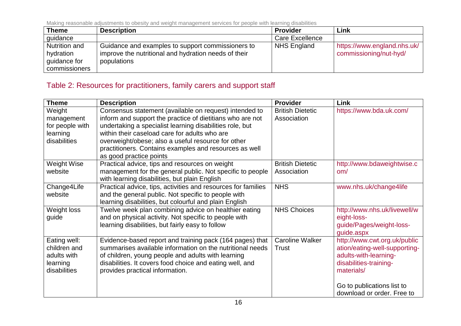| <b>Theme</b>         | <b>Description</b>                                   | <b>Provider</b>        | Link                        |
|----------------------|------------------------------------------------------|------------------------|-----------------------------|
| quidance             |                                                      | <b>Care Excellence</b> |                             |
| <b>Nutrition and</b> | Guidance and examples to support commissioners to    | <b>NHS England</b>     | https://www.england.nhs.uk/ |
| hydration            | improve the nutritional and hydration needs of their |                        | commissioning/nut-hyd/      |
| guidance for         | populations                                          |                        |                             |
| commissioners        |                                                      |                        |                             |

## Table 2: Resources for practitioners, family carers and support staff

<span id="page-15-0"></span>

| <b>Theme</b>                                                            | <b>Description</b>                                                                                                                                                                                                                                                                                                                               | <b>Provider</b>                        | Link                                                                                                                           |
|-------------------------------------------------------------------------|--------------------------------------------------------------------------------------------------------------------------------------------------------------------------------------------------------------------------------------------------------------------------------------------------------------------------------------------------|----------------------------------------|--------------------------------------------------------------------------------------------------------------------------------|
| Weight<br>management<br>for people with<br>learning<br>disabilities     | Consensus statement (available on request) intended to<br>inform and support the practice of dietitians who are not<br>undertaking a specialist learning disabilities role, but<br>within their caseload care for adults who are<br>overweight/obese; also a useful resource for other<br>practitioners. Contains examples and resources as well | <b>British Dietetic</b><br>Association | https://www.bda.uk.com/                                                                                                        |
| <b>Weight Wise</b><br>website                                           | as good practice points<br>Practical advice, tips and resources on weight<br>management for the general public. Not specific to people<br>with learning disabilities, but plain English                                                                                                                                                          | <b>British Dietetic</b><br>Association | http://www.bdaweightwise.c<br>om/                                                                                              |
| Change4Life<br>website                                                  | Practical advice, tips, activities and resources for families<br>and the general public. Not specific to people with<br>learning disabilities, but colourful and plain English                                                                                                                                                                   | <b>NHS</b>                             | www.nhs.uk/change4life                                                                                                         |
| Weight loss<br>guide                                                    | Twelve week plan combining advice on healthier eating<br>and on physical activity. Not specific to people with<br>learning disabilities, but fairly easy to follow                                                                                                                                                                               | <b>NHS Choices</b>                     | http://www.nhs.uk/livewell/w<br>eight-loss-<br>guide/Pages/weight-loss-<br>guide.aspx                                          |
| Eating well:<br>children and<br>adults with<br>learning<br>disabilities | Evidence-based report and training pack (164 pages) that<br>summarises available information on the nutritional needs<br>of children, young people and adults with learning<br>disabilities. It covers food choice and eating well, and<br>provides practical information.                                                                       | <b>Caroline Walker</b><br>Trust        | http://www.cwt.org.uk/public<br>ation/eating-well-supporting-<br>adults-with-learning-<br>disabilities-training-<br>materials/ |
|                                                                         |                                                                                                                                                                                                                                                                                                                                                  |                                        | Go to publications list to<br>download or order. Free to                                                                       |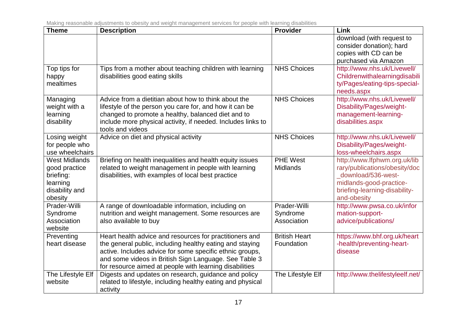| <b>Theme</b>                                                                                | <b>Description</b>                                                                                                                                                                                                                                                                                  | <b>Provider</b>                         | <b>Link</b>                                                                                                                                                    |
|---------------------------------------------------------------------------------------------|-----------------------------------------------------------------------------------------------------------------------------------------------------------------------------------------------------------------------------------------------------------------------------------------------------|-----------------------------------------|----------------------------------------------------------------------------------------------------------------------------------------------------------------|
|                                                                                             |                                                                                                                                                                                                                                                                                                     |                                         | download (with request to<br>consider donation); hard<br>copies with CD can be<br>purchased via Amazon                                                         |
| Top tips for<br>happy<br>mealtimes                                                          | Tips from a mother about teaching children with learning<br>disabilities good eating skills                                                                                                                                                                                                         | <b>NHS Choices</b>                      | http://www.nhs.uk/Livewell/<br>Childrenwithalearningdisabili<br>ty/Pages/eating-tips-special-<br>needs.aspx                                                    |
| Managing<br>weight with a<br>learning<br>disability                                         | Advice from a dietitian about how to think about the<br>lifestyle of the person you care for, and how it can be<br>changed to promote a healthy, balanced diet and to<br>include more physical activity, if needed. Includes links to<br>tools and videos                                           | <b>NHS Choices</b>                      | http://www.nhs.uk/Livewell/<br>Disability/Pages/weight-<br>management-learning-<br>disabilities.aspx                                                           |
| Losing weight<br>for people who<br>use wheelchairs                                          | Advice on diet and physical activity                                                                                                                                                                                                                                                                | <b>NHS Choices</b>                      | http://www.nhs.uk/Livewell/<br>Disability/Pages/weight-<br>loss-wheelchairs.aspx                                                                               |
| <b>West Midlands</b><br>good practice<br>briefing:<br>learning<br>disability and<br>obesity | Briefing on health inequalities and health equity issues<br>related to weight management in people with learning<br>disabilities, with examples of local best practice                                                                                                                              | <b>PHE West</b><br><b>Midlands</b>      | http://www.lfphwm.org.uk/lib<br>rary/publications/obesity/doc<br>download/536-west-<br>midlands-good-practice-<br>briefing-learning-disability-<br>and-obesity |
| Prader-Willi<br>Syndrome<br>Association<br>website                                          | A range of downloadable information, including on<br>nutrition and weight management. Some resources are<br>also available to buy                                                                                                                                                                   | Prader-Willi<br>Syndrome<br>Association | http://www.pwsa.co.uk/infor<br>mation-support-<br>advice/publications/                                                                                         |
| Preventing<br>heart disease                                                                 | Heart health advice and resources for practitioners and<br>the general public, including healthy eating and staying<br>active. Includes advice for some specific ethnic groups,<br>and some videos in British Sign Language. See Table 3<br>for resource aimed at people with learning disabilities | <b>British Heart</b><br>Foundation      | https://www.bhf.org.uk/heart<br>-health/preventing-heart-<br>disease                                                                                           |
| The Lifestyle Elf<br>website                                                                | Digests and updates on research, guidance and policy<br>related to lifestyle, including healthy eating and physical<br>activity                                                                                                                                                                     | The Lifestyle Elf                       | http://www.thelifestyleelf.net/                                                                                                                                |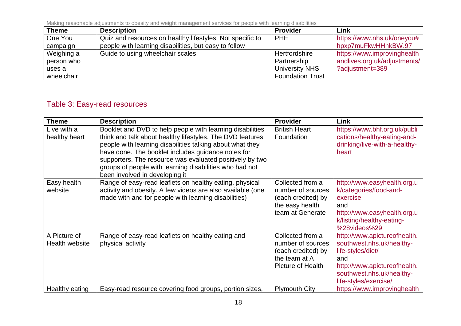| <b>Theme</b> | <b>Description</b>                                        | <b>Provider</b>         | Link                         |
|--------------|-----------------------------------------------------------|-------------------------|------------------------------|
| One You      | Quiz and resources on healthy lifestyles. Not specific to | <b>PHE</b>              | https://www.nhs.uk/oneyou#   |
| campaign     | people with learning disabilities, but easy to follow     |                         | hpxp7muFkwHHhkBW.97          |
| Weighing a   | Guide to using wheelchair scales                          | Hertfordshire           | https://www.improvinghealth  |
| person who   |                                                           | Partnership             | andlives.org.uk/adjustments/ |
| uses a       |                                                           | University NHS          | ?adjustment=389              |
| wheelchair   |                                                           | <b>Foundation Trust</b> |                              |

## Table 3: Easy-read resources

<span id="page-17-0"></span>

| <b>Theme</b>                   | <b>Description</b>                                                                                                                                                                                                                                                                                                                                                                                 | <b>Provider</b>                                                                                    | Link                                                                                                                                                                        |
|--------------------------------|----------------------------------------------------------------------------------------------------------------------------------------------------------------------------------------------------------------------------------------------------------------------------------------------------------------------------------------------------------------------------------------------------|----------------------------------------------------------------------------------------------------|-----------------------------------------------------------------------------------------------------------------------------------------------------------------------------|
| Live with a<br>healthy heart   | Booklet and DVD to help people with learning disabilities<br>think and talk about healthy lifestyles. The DVD features<br>people with learning disabilities talking about what they<br>have done. The booklet includes guidance notes for<br>supporters. The resource was evaluated positively by two<br>groups of people with learning disabilities who had not<br>been involved in developing it | <b>British Heart</b><br>Foundation                                                                 | https://www.bhf.org.uk/publi<br>cations/healthy-eating-and-<br>drinking/live-with-a-healthy-<br>heart                                                                       |
| Easy health<br>website         | Range of easy-read leaflets on healthy eating, physical<br>activity and obesity. A few videos are also available (one<br>made with and for people with learning disabilities)                                                                                                                                                                                                                      | Collected from a<br>number of sources<br>(each credited) by<br>the easy health<br>team at Generate | http://www.easyhealth.org.u<br>k/categories/food-and-<br>exercise<br>and<br>http://www.easyhealth.org.u<br>k/listing/healthy-eating-<br>%28videos%29                        |
| A Picture of<br>Health website | Range of easy-read leaflets on healthy eating and<br>physical activity                                                                                                                                                                                                                                                                                                                             | Collected from a<br>number of sources<br>(each credited) by<br>the team at A<br>Picture of Health  | http://www.apictureofhealth.<br>southwest.nhs.uk/healthy-<br>life-styles/diet/<br>and<br>http://www.apictureofhealth.<br>southwest.nhs.uk/healthy-<br>life-styles/exercise/ |
| Healthy eating                 | Easy-read resource covering food groups, portion sizes,                                                                                                                                                                                                                                                                                                                                            | <b>Plymouth City</b>                                                                               | https://www.improvinghealth                                                                                                                                                 |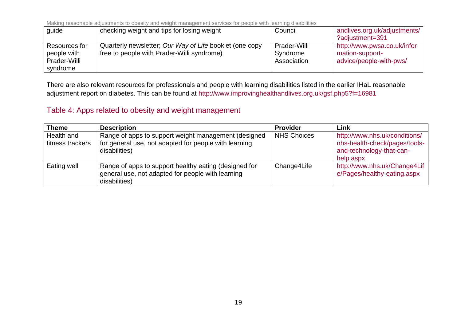| guide                                                    | checking weight and tips for losing weight                                                            | Council                                 | andlives.org.uk/adjustments/<br>?adjustment=391                           |
|----------------------------------------------------------|-------------------------------------------------------------------------------------------------------|-----------------------------------------|---------------------------------------------------------------------------|
| Resources for<br>people with<br>Prader-Willi<br>syndrome | Quarterly newsletter; Our Way of Life booklet (one copy<br>free to people with Prader-Willi syndrome) | Prader-Willi<br>Syndrome<br>Association | http://www.pwsa.co.uk/infor<br>mation-support-<br>advice/people-with-pws/ |

There are also relevant resources for professionals and people with learning disabilities listed in the earlier IHaL reasonable adjustment report on diabetes. This can be found at <http://www.improvinghealthandlives.org.uk/gsf.php5?f=16981>

## Table 4: Apps related to obesity and weight management

<span id="page-18-0"></span>

| <b>Theme</b>                   | <b>Description</b>                                                                                                             | <b>Provider</b>    | Link                                                                                                    |
|--------------------------------|--------------------------------------------------------------------------------------------------------------------------------|--------------------|---------------------------------------------------------------------------------------------------------|
| Health and<br>fitness trackers | Range of apps to support weight management (designed<br>for general use, not adapted for people with learning<br>disabilities) | <b>NHS Choices</b> | http://www.nhs.uk/conditions/<br>nhs-health-check/pages/tools-<br>and-technology-that-can-<br>help.aspx |
| Eating well                    | Range of apps to support healthy eating (designed for<br>general use, not adapted for people with learning<br>disabilities)    | Change4Life        | http://www.nhs.uk/Change4Lif<br>e/Pages/healthy-eating.aspx                                             |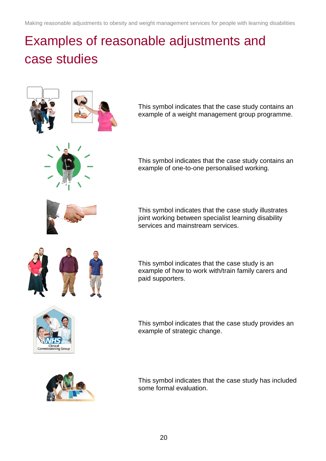# <span id="page-19-0"></span>Examples of reasonable adjustments and case studies

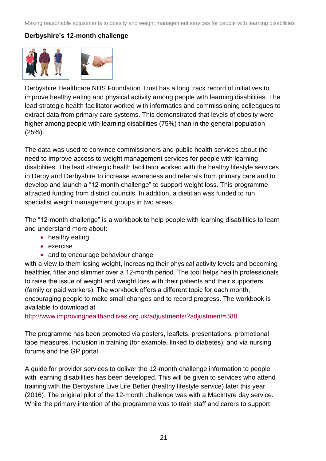## **Derbyshire's 12-month challenge**



Derbyshire Healthcare NHS Foundation Trust has a long track record of initiatives to improve healthy eating and physical activity among people with learning disabilities. The lead strategic health facilitator worked with informatics and commissioning colleagues to extract data from primary care systems. This demonstrated that levels of obesity were higher among people with learning disabilities (75%) than in the general population (25%).

The data was used to convince commissioners and public health services about the need to improve access to weight management services for people with learning disabilities. The lead strategic health facilitator worked with the healthy lifestyle services in Derby and Derbyshire to increase awareness and referrals from primary care and to develop and launch a "12-month challenge" to support weight loss. This programme attracted funding from district councils. In addition, a dietitian was funded to run specialist weight management groups in two areas.

The "12-month challenge" is a workbook to help people with learning disabilities to learn and understand more about:

- healthy eating
- exercise
- and to encourage behaviour change

with a view to them losing weight, increasing their physical activity levels and becoming healthier, fitter and slimmer over a 12-month period. The tool helps health professionals to raise the issue of weight and weight loss with their patients and their supporters (family or paid workers). The workbook offers a different topic for each month, encouraging people to make small changes and to record progress. The workbook is available to download at

<http://www.improvinghealthandlives.org.uk/adjustments/?adjustment=388>

The programme has been promoted via posters, leaflets, presentations, promotional tape measures, inclusion in training (for example, linked to diabetes), and via nursing forums and the GP portal.

A guide for provider services to deliver the 12-month challenge information to people with learning disabilities has been developed. This will be given to services who attend training with the Derbyshire Live Life Better (healthy lifestyle service) later this year (2016). The original pilot of the 12-month challenge was with a MacIntyre day service. While the primary intention of the programme was to train staff and carers to support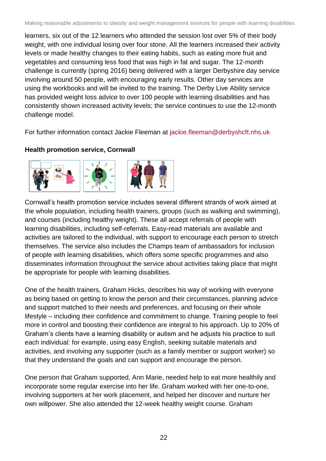learners, six out of the 12 learners who attended the session lost over 5% of their body weight, with one individual losing over four stone. All the learners increased their activity levels or made healthy changes to their eating habits, such as eating more fruit and vegetables and consuming less food that was high in fat and sugar. The 12-month challenge is currently (spring 2016) being delivered with a larger Derbyshire day service involving around 50 people, with encouraging early results. Other day services are using the workbooks and will be invited to the training. The Derby Live Ability service has provided weight loss advice to over 100 people with learning disabilities and has consistently shown increased activity levels; the service continues to use the 12-month challenge model.

For further information contact Jackie Fleeman at [jackie.fleeman@derbyshcft.nhs.uk](mailto:jackie.fleeman@derbyshcft.nhs.uk)

## **Health promotion service, Cornwall**



Cornwall's health promotion service includes several different strands of work aimed at the whole population, including health trainers, groups (such as walking and swimming), and courses (including healthy weight). These all accept referrals of people with learning disabilities, including self-referrals. Easy-read materials are available and activities are tailored to the individual, with support to encourage each person to stretch themselves. The service also includes the Champs team of ambassadors for inclusion of people with learning disabilities, which offers some specific programmes and also disseminates information throughout the service about activities taking place that might be appropriate for people with learning disabilities.

One of the health trainers, Graham Hicks, describes his way of working with everyone as being based on getting to know the person and their circumstances, planning advice and support matched to their needs and preferences, and focusing on their whole lifestyle – including their confidence and commitment to change. Training people to feel more in control and boosting their confidence are integral to his approach. Up to 20% of Graham's clients have a learning disability or autism and he adjusts his practice to suit each individual: for example, using easy English, seeking suitable materials and activities, and involving any supporter (such as a family member or support worker) so that they understand the goals and can support and encourage the person.

One person that Graham supported, Ann Marie, needed help to eat more healthily and incorporate some regular exercise into her life. Graham worked with her one-to-one, involving supporters at her work placement, and helped her discover and nurture her own willpower. She also attended the 12-week healthy weight course. Graham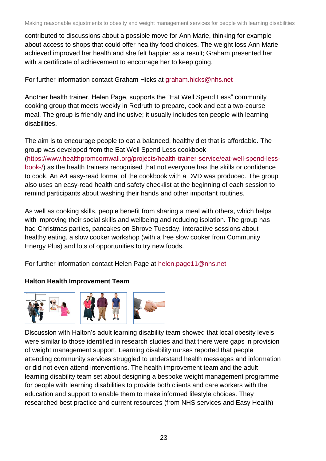contributed to discussions about a possible move for Ann Marie, thinking for example about access to shops that could offer healthy food choices. The weight loss Ann Marie achieved improved her health and she felt happier as a result; Graham presented her with a certificate of achievement to encourage her to keep going.

For further information contact Graham Hicks at [graham.hicks@nhs.net](mailto:graham.hicks@nhs.net)

Another health trainer, Helen Page, supports the "Eat Well Spend Less" community cooking group that meets weekly in Redruth to prepare, cook and eat a two-course meal. The group is friendly and inclusive; it usually includes ten people with learning disabilities.

The aim is to encourage people to eat a balanced, healthy diet that is affordable. The group was developed from the Eat Well Spend Less cookbook [\(https://www.healthpromcornwall.org/projects/health-trainer-service/eat-well-spend-less](https://www.healthpromcornwall.org/projects/health-trainer-service/eat-well-spend-less-book-/)[book-/\)](https://www.healthpromcornwall.org/projects/health-trainer-service/eat-well-spend-less-book-/) as the health trainers recognised that not everyone has the skills or confidence to cook. An A4 easy-read format of the cookbook with a DVD was produced. The group also uses an easy-read health and safety checklist at the beginning of each session to remind participants about washing their hands and other important routines.

As well as cooking skills, people benefit from sharing a meal with others, which helps with improving their social skills and wellbeing and reducing isolation. The group has had Christmas parties, pancakes on Shrove Tuesday, interactive sessions about healthy eating, a slow cooker workshop (with a free slow cooker from Community Energy Plus) and lots of opportunities to try new foods.

For further information contact Helen Page at [helen.page11@nhs.net](mailto:helen.page11@nhs.net)

### **Halton Health Improvement Team**



Discussion with Halton's adult learning disability team showed that local obesity levels were similar to those identified in research studies and that there were gaps in provision of weight management support. Learning disability nurses reported that people attending community services struggled to understand health messages and information or did not even attend interventions. The health improvement team and the adult learning disability team set about designing a bespoke weight management programme for people with learning disabilities to provide both clients and care workers with the education and support to enable them to make informed lifestyle choices. They researched best practice and current resources (from NHS services and Easy Health)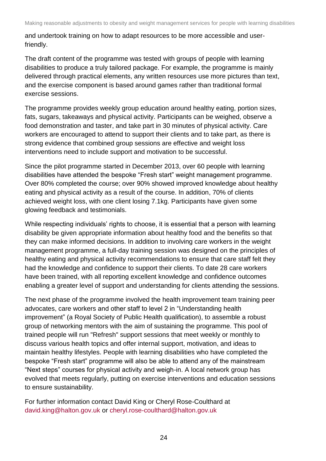and undertook training on how to adapt resources to be more accessible and userfriendly.

The draft content of the programme was tested with groups of people with learning disabilities to produce a truly tailored package. For example, the programme is mainly delivered through practical elements, any written resources use more pictures than text, and the exercise component is based around games rather than traditional formal exercise sessions.

The programme provides weekly group education around healthy eating, portion sizes, fats, sugars, takeaways and physical activity. Participants can be weighed, observe a food demonstration and taster, and take part in 30 minutes of physical activity. Care workers are encouraged to attend to support their clients and to take part, as there is strong evidence that combined group sessions are effective and weight loss interventions need to include support and motivation to be successful.

Since the pilot programme started in December 2013, over 60 people with learning disabilities have attended the bespoke "Fresh start" weight management programme. Over 80% completed the course; over 90% showed improved knowledge about healthy eating and physical activity as a result of the course. In addition, 70% of clients achieved weight loss, with one client losing 7.1kg. Participants have given some glowing feedback and testimonials.

While respecting individuals' rights to choose, it is essential that a person with learning disability be given appropriate information about healthy food and the benefits so that they can make informed decisions. In addition to involving care workers in the weight management programme, a full-day training session was designed on the principles of healthy eating and physical activity recommendations to ensure that care staff felt they had the knowledge and confidence to support their clients. To date 28 care workers have been trained, with all reporting excellent knowledge and confidence outcomes enabling a greater level of support and understanding for clients attending the sessions.

The next phase of the programme involved the health improvement team training peer advocates, care workers and other staff to level 2 in "Understanding health improvement" (a Royal Society of Public Health qualification), to assemble a robust group of networking mentors with the aim of sustaining the programme. This pool of trained people will run "Refresh" support sessions that meet weekly or monthly to discuss various health topics and offer internal support, motivation, and ideas to maintain healthy lifestyles. People with learning disabilities who have completed the bespoke "Fresh start" programme will also be able to attend any of the mainstream "Next steps" courses for physical activity and weigh-in. A local network group has evolved that meets regularly, putting on exercise interventions and education sessions to ensure sustainability.

For further information contact David King or Cheryl Rose-Coulthard at [david.king@halton.gov.uk](mailto:david.king@halton.gov.uk) or [cheryl.rose-coulthard@halton.gov.uk](mailto:cheryl.rose-coulthard@halton.gov.uk)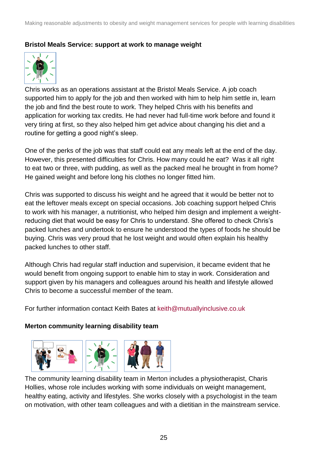#### **Bristol Meals Service: support at work to manage weight**



Chris works as an operations assistant at the Bristol Meals Service. A job coach supported him to apply for the job and then worked with him to help him settle in, learn the job and find the best route to work. They helped Chris with his benefits and application for working tax credits. He had never had full-time work before and found it very tiring at first, so they also helped him get advice about changing his diet and a routine for getting a good night's sleep.

One of the perks of the job was that staff could eat any meals left at the end of the day. However, this presented difficulties for Chris. How many could he eat? Was it all right to eat two or three, with pudding, as well as the packed meal he brought in from home? He gained weight and before long his clothes no longer fitted him.

Chris was supported to discuss his weight and he agreed that it would be better not to eat the leftover meals except on special occasions. Job coaching support helped Chris to work with his manager, a nutritionist, who helped him design and implement a weightreducing diet that would be easy for Chris to understand. She offered to check Chris's packed lunches and undertook to ensure he understood the types of foods he should be buying. Chris was very proud that he lost weight and would often explain his healthy packed lunches to other staff.

Although Chris had regular staff induction and supervision, it became evident that he would benefit from ongoing support to enable him to stay in work. Consideration and support given by his managers and colleagues around his health and lifestyle allowed Chris to become a successful member of the team.

For further information contact Keith Bates at [keith@mutuallyinclusive.co.uk](mailto:keith@mutuallyinclusive.co.uk)

#### **Merton community learning disability team**



The community learning disability team in Merton includes a physiotherapist, Charis Hollies, whose role includes working with some individuals on weight management, healthy eating, activity and lifestyles. She works closely with a psychologist in the team on motivation, with other team colleagues and with a dietitian in the mainstream service.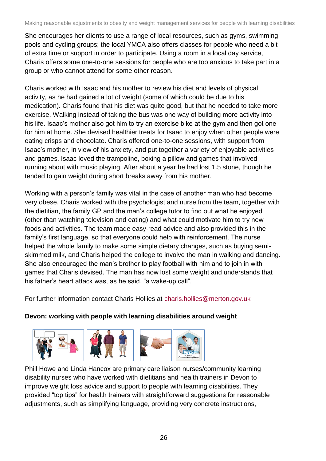She encourages her clients to use a range of local resources, such as gyms, swimming pools and cycling groups; the local YMCA also offers classes for people who need a bit of extra time or support in order to participate. Using a room in a local day service, Charis offers some one-to-one sessions for people who are too anxious to take part in a group or who cannot attend for some other reason.

Charis worked with Isaac and his mother to review his diet and levels of physical activity, as he had gained a lot of weight (some of which could be due to his medication). Charis found that his diet was quite good, but that he needed to take more exercise. Walking instead of taking the bus was one way of building more activity into his life. Isaac's mother also got him to try an exercise bike at the gym and then got one for him at home. She devised healthier treats for Isaac to enjoy when other people were eating crisps and chocolate. Charis offered one-to-one sessions, with support from Isaac's mother, in view of his anxiety, and put together a variety of enjoyable activities and games. Isaac loved the trampoline, boxing a pillow and games that involved running about with music playing. After about a year he had lost 1.5 stone, though he tended to gain weight during short breaks away from his mother.

Working with a person's family was vital in the case of another man who had become very obese. Charis worked with the psychologist and nurse from the team, together with the dietitian, the family GP and the man's college tutor to find out what he enjoyed (other than watching television and eating) and what could motivate him to try new foods and activities. The team made easy-read advice and also provided this in the family's first language, so that everyone could help with reinforcement. The nurse helped the whole family to make some simple dietary changes, such as buying semiskimmed milk, and Charis helped the college to involve the man in walking and dancing. She also encouraged the man's brother to play football with him and to join in with games that Charis devised. The man has now lost some weight and understands that his father's heart attack was, as he said, "a wake-up call".

For further information contact Charis Hollies at [charis.hollies@merton.gov.uk](mailto:charis.hollies@merton.gov.uk)

## **Devon: working with people with learning disabilities around weight**



Phill Howe and Linda Hancox are primary care liaison nurses/community learning disability nurses who have worked with dietitians and health trainers in Devon to improve weight loss advice and support to people with learning disabilities. They provided "top tips" for health trainers with straightforward suggestions for reasonable adjustments, such as simplifying language, providing very concrete instructions,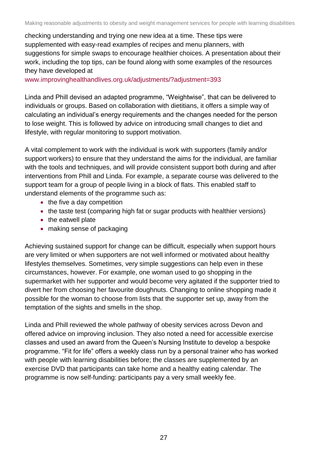checking understanding and trying one new idea at a time. These tips were supplemented with easy-read examples of recipes and menu planners, with suggestions for simple swaps to encourage healthier choices. A presentation about their work, including the top tips, can be found along with some examples of the resources they have developed at

[www.improvinghealthandlives.org.uk/adjustments/?adjustment=393](http://www.improvinghealthandlives.org.uk/adjustments/?adjustment=393)

Linda and Phill devised an adapted programme, "Weightwise", that can be delivered to individuals or groups. Based on collaboration with dietitians, it offers a simple way of calculating an individual's energy requirements and the changes needed for the person to lose weight. This is followed by advice on introducing small changes to diet and lifestyle, with regular monitoring to support motivation.

A vital complement to work with the individual is work with supporters (family and/or support workers) to ensure that they understand the aims for the individual, are familiar with the tools and techniques, and will provide consistent support both during and after interventions from Phill and Linda. For example, a separate course was delivered to the support team for a group of people living in a block of flats. This enabled staff to understand elements of the programme such as:

- the five a day competition
- the taste test (comparing high fat or sugar products with healthier versions)
- the eatwell plate
- making sense of packaging

Achieving sustained support for change can be difficult, especially when support hours are very limited or when supporters are not well informed or motivated about healthy lifestyles themselves. Sometimes, very simple suggestions can help even in these circumstances, however. For example, one woman used to go shopping in the supermarket with her supporter and would become very agitated if the supporter tried to divert her from choosing her favourite doughnuts. Changing to online shopping made it possible for the woman to choose from lists that the supporter set up, away from the temptation of the sights and smells in the shop.

Linda and Phill reviewed the whole pathway of obesity services across Devon and offered advice on improving inclusion. They also noted a need for accessible exercise classes and used an award from the Queen's Nursing Institute to develop a bespoke programme. "Fit for life" offers a weekly class run by a personal trainer who has worked with people with learning disabilities before; the classes are supplemented by an exercise DVD that participants can take home and a healthy eating calendar. The programme is now self-funding: participants pay a very small weekly fee.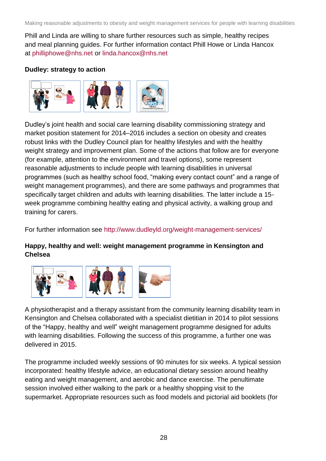Phill and Linda are willing to share further resources such as simple, healthy recipes and meal planning guides. For further information contact Phill Howe or Linda Hancox at [philliphowe@nhs.net](mailto:philliphowe@nhs.net) or [linda.hancox@nhs.net](mailto:linda.hancox@nhs.net)

### **Dudley: strategy to action**



Dudley's joint health and social care learning disability commissioning strategy and market position statement for 2014–2016 includes a section on obesity and creates robust links with the Dudley Council plan for healthy lifestyles and with the healthy weight strategy and improvement plan. Some of the actions that follow are for everyone (for example, attention to the environment and travel options), some represent reasonable adjustments to include people with learning disabilities in universal programmes (such as healthy school food, "making every contact count" and a range of weight management programmes), and there are some pathways and programmes that specifically target children and adults with learning disabilities. The latter include a 15 week programme combining healthy eating and physical activity, a walking group and training for carers.

For further information see<http://www.dudleyld.org/weight-management-services/>

## **Happy, healthy and well: weight management programme in Kensington and Chelsea**



A physiotherapist and a therapy assistant from the community learning disability team in Kensington and Chelsea collaborated with a specialist dietitian in 2014 to pilot sessions of the "Happy, healthy and well" weight management programme designed for adults with learning disabilities. Following the success of this programme, a further one was delivered in 2015.

The programme included weekly sessions of 90 minutes for six weeks. A typical session incorporated: healthy lifestyle advice, an educational dietary session around healthy eating and weight management, and aerobic and dance exercise. The penultimate session involved either walking to the park or a healthy shopping visit to the supermarket. Appropriate resources such as food models and pictorial aid booklets (for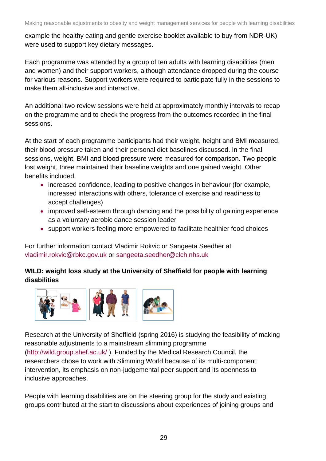example the healthy eating and gentle exercise booklet available to buy from NDR-UK) were used to support key dietary messages.

Each programme was attended by a group of ten adults with learning disabilities (men and women) and their support workers, although attendance dropped during the course for various reasons. Support workers were required to participate fully in the sessions to make them all-inclusive and interactive.

An additional two review sessions were held at approximately monthly intervals to recap on the programme and to check the progress from the outcomes recorded in the final sessions.

At the start of each programme participants had their weight, height and BMI measured, their blood pressure taken and their personal diet baselines discussed. In the final sessions, weight, BMI and blood pressure were measured for comparison. Two people lost weight, three maintained their baseline weights and one gained weight. Other benefits included:

- increased confidence, leading to positive changes in behaviour (for example, increased interactions with others, tolerance of exercise and readiness to accept challenges)
- improved self-esteem through dancing and the possibility of gaining experience as a voluntary aerobic dance session leader
- support workers feeling more empowered to facilitate healthier food choices

For further information contact Vladimir Rokvic or Sangeeta Seedher at [vladimir.rokvic@rbkc.gov.uk](mailto:vladimir.rokvic@rbkc.gov.uk) or [sangeeta.seedher@clch.nhs.uk](mailto:sangeeta.seedher@clch.nhs.uk)

## **WILD: weight loss study at the University of Sheffield for people with learning disabilities**



Research at the University of Sheffield (spring 2016) is studying the feasibility of making reasonable adjustments to a mainstream slimming programme [\(http://wild.group.shef.ac.uk/](http://wild.group.shef.ac.uk/) ). Funded by the Medical Research Council, the researchers chose to work with Slimming World because of its multi-component intervention, its emphasis on non-judgemental peer support and its openness to inclusive approaches.

People with learning disabilities are on the steering group for the study and existing groups contributed at the start to discussions about experiences of joining groups and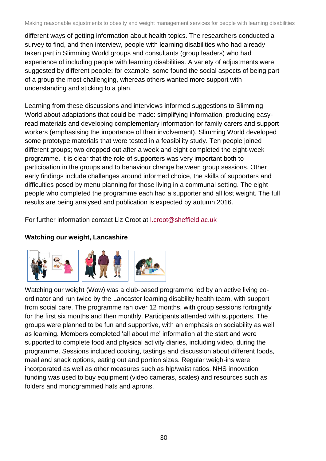different ways of getting information about health topics. The researchers conducted a survey to find, and then interview, people with learning disabilities who had already taken part in Slimming World groups and consultants (group leaders) who had experience of including people with learning disabilities. A variety of adjustments were suggested by different people: for example, some found the social aspects of being part of a group the most challenging, whereas others wanted more support with understanding and sticking to a plan.

Learning from these discussions and interviews informed suggestions to Slimming World about adaptations that could be made: simplifying information, producing easyread materials and developing complementary information for family carers and support workers (emphasising the importance of their involvement). Slimming World developed some prototype materials that were tested in a feasibility study. Ten people joined different groups; two dropped out after a week and eight completed the eight-week programme. It is clear that the role of supporters was very important both to participation in the groups and to behaviour change between group sessions. Other early findings include challenges around informed choice, the skills of supporters and difficulties posed by menu planning for those living in a communal setting. The eight people who completed the programme each had a supporter and all lost weight. The full results are being analysed and publication is expected by autumn 2016.

For further information contact Liz Croot at [l.croot@sheffield.ac.uk](mailto:l.croot@sheffield.ac.uk)

## **Watching our weight, Lancashire**



Watching our weight (Wow) was a club-based programme led by an active living coordinator and run twice by the Lancaster learning disability health team, with support from social care. The programme ran over 12 months, with group sessions fortnightly for the first six months and then monthly. Participants attended with supporters. The groups were planned to be fun and supportive, with an emphasis on sociability as well as learning. Members completed 'all about me' information at the start and were supported to complete food and physical activity diaries, including video, during the programme. Sessions included cooking, tastings and discussion about different foods, meal and snack options, eating out and portion sizes. Regular weigh-ins were incorporated as well as other measures such as hip/waist ratios. NHS innovation funding was used to buy equipment (video cameras, scales) and resources such as folders and monogrammed hats and aprons.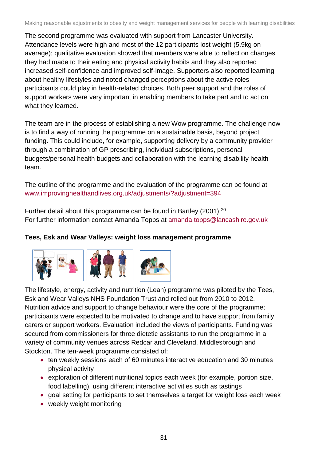The second programme was evaluated with support from Lancaster University. Attendance levels were high and most of the 12 participants lost weight (5.9kg on average); qualitative evaluation showed that members were able to reflect on changes they had made to their eating and physical activity habits and they also reported increased self-confidence and improved self-image. Supporters also reported learning about healthy lifestyles and noted changed perceptions about the active roles participants could play in health-related choices. Both peer support and the roles of support workers were very important in enabling members to take part and to act on what they learned.

The team are in the process of establishing a new Wow programme. The challenge now is to find a way of running the programme on a sustainable basis, beyond project funding. This could include, for example, supporting delivery by a community provider through a combination of GP prescribing, individual subscriptions, personal budgets/personal health budgets and collaboration with the learning disability health team.

The outline of the programme and the evaluation of the programme can be found at [www.improvinghealthandlives.org.uk/adjustments/?adjustment=394](http://www.improvinghealthandlives.org.uk/adjustments/?adjustment=394)

Further detail about this programme can be found in Bartley (2001).<sup>20</sup> For further information contact Amanda Topps at [amanda.topps@lancashire.gov.uk](mailto:amanda.topps@lancashire.gov.uk)

## **Tees, Esk and Wear Valleys: weight loss management programme**



The lifestyle, energy, activity and nutrition (Lean) programme was piloted by the Tees, Esk and Wear Valleys NHS Foundation Trust and rolled out from 2010 to 2012. Nutrition advice and support to change behaviour were the core of the programme; participants were expected to be motivated to change and to have support from family carers or support workers. Evaluation included the views of participants. Funding was secured from commissioners for three dietetic assistants to run the programme in a variety of community venues across Redcar and Cleveland, Middlesbrough and Stockton. The ten-week programme consisted of:

- ten weekly sessions each of 60 minutes interactive education and 30 minutes physical activity
- exploration of different nutritional topics each week (for example, portion size, food labelling), using different interactive activities such as tastings
- goal setting for participants to set themselves a target for weight loss each week
- weekly weight monitoring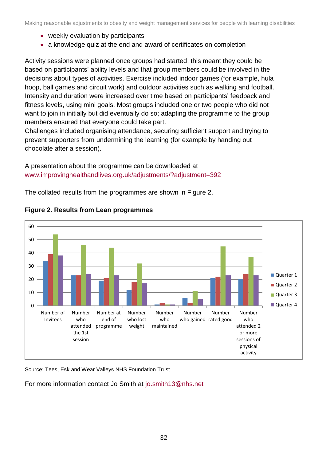- weekly evaluation by participants
- a knowledge quiz at the end and award of certificates on completion

Activity sessions were planned once groups had started; this meant they could be based on participants' ability levels and that group members could be involved in the decisions about types of activities. Exercise included indoor games (for example, hula hoop, ball games and circuit work) and outdoor activities such as walking and football. Intensity and duration were increased over time based on participants' feedback and fitness levels, using mini goals. Most groups included one or two people who did not want to join in initially but did eventually do so; adapting the programme to the group members ensured that everyone could take part.

Challenges included organising attendance, securing sufficient support and trying to prevent supporters from undermining the learning (for example by handing out chocolate after a session).

A presentation about the programme can be downloaded at [www.improvinghealthandlives.org.uk/adjustments/?adjustment=392](http://www.improvinghealthandlives.org.uk/adjustments/?adjustment=392)

The collated results from the programmes are shown in Figure 2.





Source: Tees, Esk and Wear Valleys NHS Foundation Trust

For more information contact Jo Smith at [jo.smith13@nhs.net](mailto:jo.smith13@nhs.net)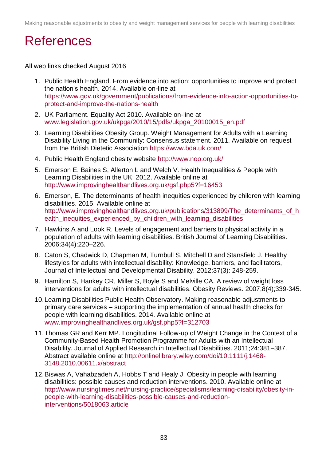## <span id="page-32-0"></span>**References**

All web links checked August 2016

- 1. Public Health England. From evidence into action: opportunities to improve and protect the nation's health. 2014. Available on-line at [https://www.gov.uk/government/publications/from-evidence-into-action-opportunities-to](https://www.gov.uk/government/publications/from-evidence-into-action-opportunities-to-protect-and-improve-the-nations-health)[protect-and-improve-the-nations-health](https://www.gov.uk/government/publications/from-evidence-into-action-opportunities-to-protect-and-improve-the-nations-health)
- 2. UK Parliament. Equality Act 2010. Available on-line at [www.legislation.gov.uk/ukpga/2010/15/pdfs/ukpga\\_20100015\\_en.pdf](http://www.legislation.gov.uk/ukpga/2010/15/pdfs/ukpga_20100015_en.pdf)
- 3. Learning Disabilities Obesity Group. Weight Management for Adults with a Learning Disability Living in the Community: Consensus statement. 2011. Available on request from the British Dietetic Association<https://www.bda.uk.com/>
- 4. Public Health England obesity website<http://www.noo.org.uk/>
- 5. Emerson E, Baines S, Allerton L and Welch V. Health Inequalities & People with Learning Disabilities in the UK: 2012. Available online at <http://www.improvinghealthandlives.org.uk/gsf.php5?f=16453>
- 6. Emerson, E. The determinants of health inequities experienced by children with learning disabilities. 2015. Available online at [http://www.improvinghealthandlives.org.uk/publications/313899/The\\_determinants\\_of\\_h](http://www.improvinghealthandlives.org.uk/publications/313899/The_determinants_of_health_inequities_experienced_by_children_with_learning_disabilities) ealth inequities experienced by children with learning disabilities
- 7. Hawkins A and Look R. Levels of engagement and barriers to physical activity in a population of adults with learning disabilities. British Journal of Learning Disabilities. 2006;34(4):220–226.
- 8. Caton S, Chadwick D, Chapman M, Turnbull S, Mitchell D and Stansfield J. Healthy lifestyles for adults with intellectual disability: Knowledge, barriers, and facilitators, Journal of Intellectual and Developmental Disability. 2012:37(3): 248-259.
- 9. Hamilton S, Hankey CR, Miller S, Boyle S and Melville CA. A review of weight loss interventions for adults with intellectual disabilities. Obesity Reviews. 2007;8(4);339-345.
- 10.Learning Disabilities Public Health Observatory. Making reasonable adjustments to primary care services – supporting the implementation of annual health checks for people with learning disabilities. 2014. Available online at [www.improvinghealthandlives.org.uk/gsf.php5?f=312703](http://www.improvinghealthandlives.org.uk/gsf.php5?f=312703)
- 11.Thomas GR and Kerr MP. Longitudinal Follow-up of Weight Change in the Context of a Community-Based Health Promotion Programme for Adults with an Intellectual Disability. Journal of Applied Research in Intellectual Disabilities. 2011;24:381–387. Abstract available online at [http://onlinelibrary.wiley.com/doi/10.1111/j.1468-](http://onlinelibrary.wiley.com/doi/10.1111/j.1468-3148.2010.00611.x/abstract) [3148.2010.00611.x/abstract](http://onlinelibrary.wiley.com/doi/10.1111/j.1468-3148.2010.00611.x/abstract)
- 12.Biswas A, Vahabzadeh A, Hobbs T and Healy J. Obesity in people with learning disabilities: possible causes and reduction interventions. 2010. Available online at [http://www.nursingtimes.net/nursing-practice/specialisms/learning-disability/obesity-in](http://www.nursingtimes.net/nursing-practice/specialisms/learning-disability/obesity-in-people-with-learning-disabilities-possible-causes-and-reduction-interventions/5018063.article)[people-with-learning-disabilities-possible-causes-and-reduction](http://www.nursingtimes.net/nursing-practice/specialisms/learning-disability/obesity-in-people-with-learning-disabilities-possible-causes-and-reduction-interventions/5018063.article)[interventions/5018063.article](http://www.nursingtimes.net/nursing-practice/specialisms/learning-disability/obesity-in-people-with-learning-disabilities-possible-causes-and-reduction-interventions/5018063.article)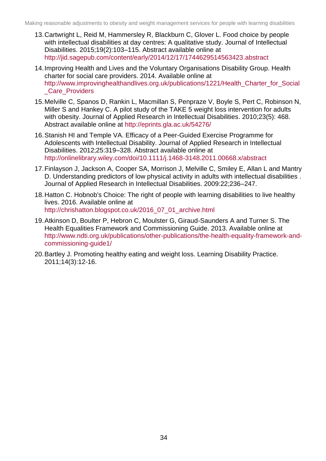- 13.Cartwright L, Reid M, Hammersley R, Blackburn C, Glover L. Food choice by people with intellectual disabilities at day centres: A qualitative study. Journal of Intellectual Disabilities. 2015;19(2):103–115. Abstract available online at <http://jid.sagepub.com/content/early/2014/12/17/1744629514563423.abstract>
- 14.Improving Health and Lives and the Voluntary Organisations Disability Group. Health charter for social care providers. 2014. Available online at [http://www.improvinghealthandlives.org.uk/publications/1221/Health\\_Charter\\_for\\_Social](http://www.improvinghealthandlives.org.uk/publications/1221/Health_Charter_for_Social_Care_Providers) [\\_Care\\_Providers](http://www.improvinghealthandlives.org.uk/publications/1221/Health_Charter_for_Social_Care_Providers)
- 15[.Melville C,](http://eprints.gla.ac.uk/view/author/3014.html) [Spanos D,](http://eprints.gla.ac.uk/view/author/14224.html) [Rankin L,](http://eprints.gla.ac.uk/view/author/8599.html) [Macmillan S,](http://eprints.gla.ac.uk/view/author/13328.html) [Penpraze V,](http://eprints.gla.ac.uk/view/author/12686.html) Boyle S, Pert C, Robinson N, Miller S and [Hankey C.](http://eprints.gla.ac.uk/view/author/3426.html) A pilot study of the TAKE 5 weight loss intervention for adults with obesity. [Journal of Applied Research in Intellectual Disabilities.](http://eprints.gla.ac.uk/view/journal_volume/Journal_of_Applied_Research_in_Intellectual_Disabilities.html) 2010;23(5): 468. Abstract available online at<http://eprints.gla.ac.uk/54276/>
- 16.Stanish HI and Temple VA. Efficacy of a Peer-Guided Exercise Programme for Adolescents with Intellectual Disability. Journal of Applied Research in Intellectual Disabilities. 2012;25:319–328. Abstract available online at <http://onlinelibrary.wiley.com/doi/10.1111/j.1468-3148.2011.00668.x/abstract>
- 17.Finlayson J, Jackson A, Cooper SA, Morrison J, Melville C, Smiley E, Allan L and Mantry D. Understanding predictors of low physical activity in adults with intellectual disabilities . Journal of Applied Research in Intellectual Disabilities. 2009:22;236–247.
- 18.Hatton C. [Hobnob's Choice: The right of people with learning disabilities to live healthy](http://chrishatton.blogspot.co.uk/2016/07/hobnobs-choice-right-of-people-with.html)  [lives.](http://chrishatton.blogspot.co.uk/2016/07/hobnobs-choice-right-of-people-with.html) 2016. Available online at [http://chrishatton.blogspot.co.uk/2016\\_07\\_01\\_archive.html](http://chrishatton.blogspot.co.uk/2016_07_01_archive.html)
- 19.Atkinson D, Boulter P, Hebron C, Moulster G, Giraud-Saunders A and Turner S. The Health Equalities Framework and Commissioning Guide. 2013. Available online at [http://www.ndti.org.uk/publications/other-publications/the-health-equality-framework-and](http://www.ndti.org.uk/publications/other-publications/the-health-equality-framework-and-commissioning-guide1/)[commissioning-guide1/](http://www.ndti.org.uk/publications/other-publications/the-health-equality-framework-and-commissioning-guide1/)
- 20.Bartley J. Promoting healthy eating and weight loss. Learning Disability Practice. 2011;14(3):12-16.